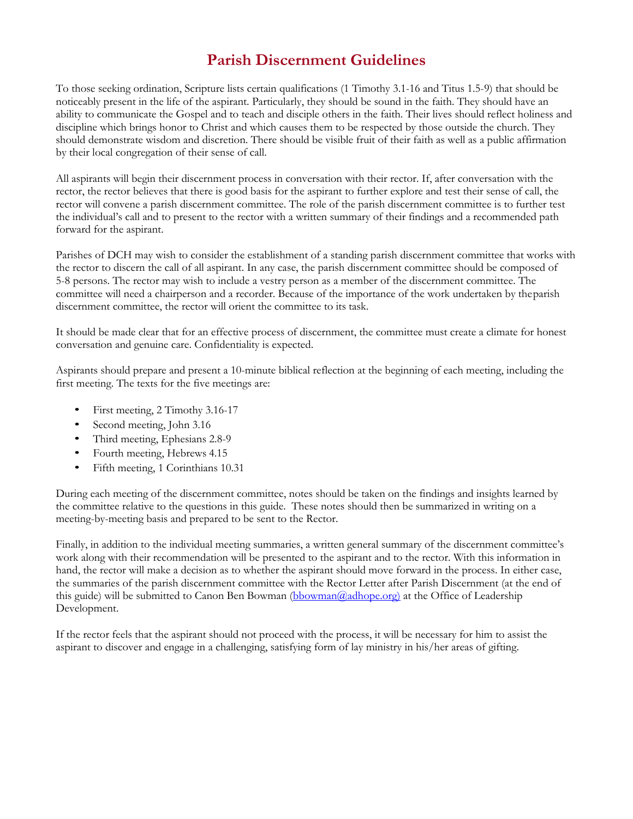# **Parish Discernment Guidelines**

To those seeking ordination, Scripture lists certain qualifications (1 Timothy 3.1-16 and Titus 1.5-9) that should be noticeably present in the life of the aspirant. Particularly, they should be sound in the faith. They should have an ability to communicate the Gospel and to teach and disciple others in the faith. Their lives should reflect holiness and discipline which brings honor to Christ and which causes them to be respected by those outside the church. They should demonstrate wisdom and discretion. There should be visible fruit of their faith as well as a public affirmation by their local congregation of their sense of call.

All aspirants will begin their discernment process in conversation with their rector. If, after conversation with the rector, the rector believes that there is good basis for the aspirant to further explore and test their sense of call, the rector will convene a parish discernment committee. The role of the parish discernment committee is to further test the individual's call and to present to the rector with a written summary of their findings and a recommended path forward for the aspirant.

Parishes of DCH may wish to consider the establishment of a standing parish discernment committee that works with the rector to discern the call of all aspirant. In any case, the parish discernment committee should be composed of 5-8 persons. The rector may wish to include a vestry person as a member of the discernment committee. The committee will need a chairperson and a recorder. Because of the importance of the work undertaken by theparish discernment committee, the rector will orient the committee to its task.

It should be made clear that for an effective process of discernment, the committee must create a climate for honest conversation and genuine care. Confidentiality is expected.

Aspirants should prepare and present a 10-minute biblical reflection at the beginning of each meeting, including the first meeting. The texts for the five meetings are:

- First meeting, 2 Timothy 3.16-17
- Second meeting, John 3.16
- Third meeting, Ephesians 2.8-9
- Fourth meeting, Hebrews 4.15
- Fifth meeting, 1 Corinthians 10.31

During each meeting of the discernment committee, notes should be taken on the findings and insights learned by the committee relative to the questions in this guide. These notes should then be summarized in writing on a meeting-by-meeting basis and prepared to be sent to the Rector.

Finally, in addition to the individual meeting summaries, a written general summary of the discernment committee's work along with their recommendation will be presented to the aspirant and to the rector. With this information in hand, the rector will make a decision as to whether the aspirant should move forward in the process. In either case, the summaries of the parish discernment committee with the Rector Letter after Parish Discernment (at the end of this guide) will be submitted to Canon Ben Bowman (bbowman@adhope.org) at the Office of Leadership Development.

If the rector feels that the aspirant should not proceed with the process, it will be necessary for him to assist the aspirant to discover and engage in a challenging, satisfying form of lay ministry in his/her areas of gifting.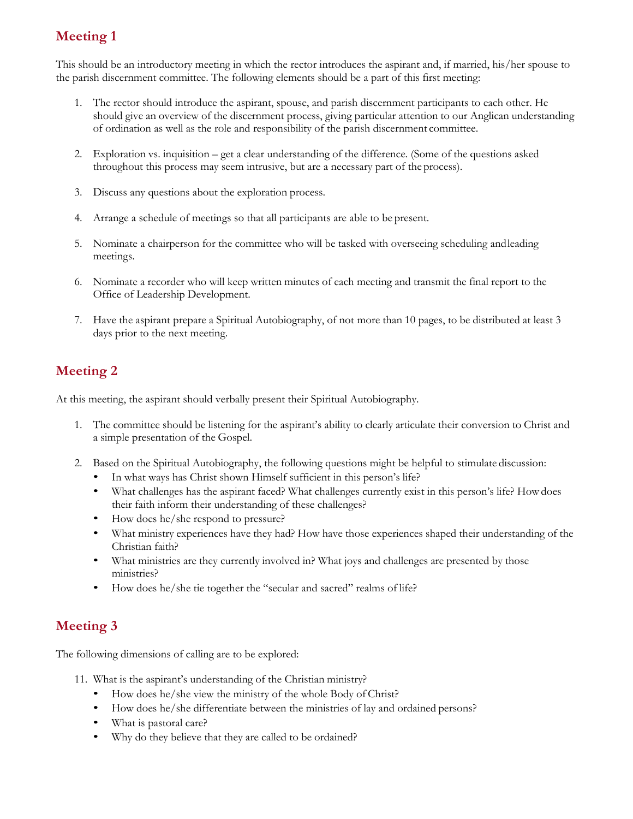## **Meeting 1**

This should be an introductory meeting in which the rector introduces the aspirant and, if married, his/her spouse to the parish discernment committee. The following elements should be a part of this first meeting:

- 1. The rector should introduce the aspirant, spouse, and parish discernment participants to each other. He should give an overview of the discernment process, giving particular attention to our Anglican understanding of ordination as well as the role and responsibility of the parish discernment committee.
- 2. Exploration vs. inquisition get a clear understanding of the difference. (Some of the questions asked throughout this process may seem intrusive, but are a necessary part of the process).
- 3. Discuss any questions about the exploration process.
- 4. Arrange a schedule of meetings so that all participants are able to be present.
- 5. Nominate a chairperson for the committee who will be tasked with overseeing scheduling andleading meetings.
- 6. Nominate a recorder who will keep written minutes of each meeting and transmit the final report to the Office of Leadership Development.
- 7. Have the aspirant prepare a Spiritual Autobiography, of not more than 10 pages, to be distributed at least 3 days prior to the next meeting.

## **Meeting 2**

At this meeting, the aspirant should verbally present their Spiritual Autobiography.

- 1. The committee should be listening for the aspirant's ability to clearly articulate their conversion to Christ and a simple presentation of the Gospel.
- 2. Based on the Spiritual Autobiography, the following questions might be helpful to stimulate discussion:
	- In what ways has Christ shown Himself sufficient in this person's life?
	- What challenges has the aspirant faced? What challenges currently exist in this person's life? Howdoes their faith inform their understanding of these challenges?
	- How does he/she respond to pressure?
	- What ministry experiences have they had? How have those experiences shaped their understanding of the Christian faith?
	- What ministries are they currently involved in? What joys and challenges are presented by those ministries?
	- How does he/she tie together the "secular and sacred" realms of life?

### **Meeting 3**

The following dimensions of calling are to be explored:

- 11. What is the aspirant's understanding of the Christian ministry?
	- How does he/she view the ministry of the whole Body of Christ?
	- How does he/she differentiate between the ministries of lay and ordained persons?
	- What is pastoral care?
	- Why do they believe that they are called to be ordained?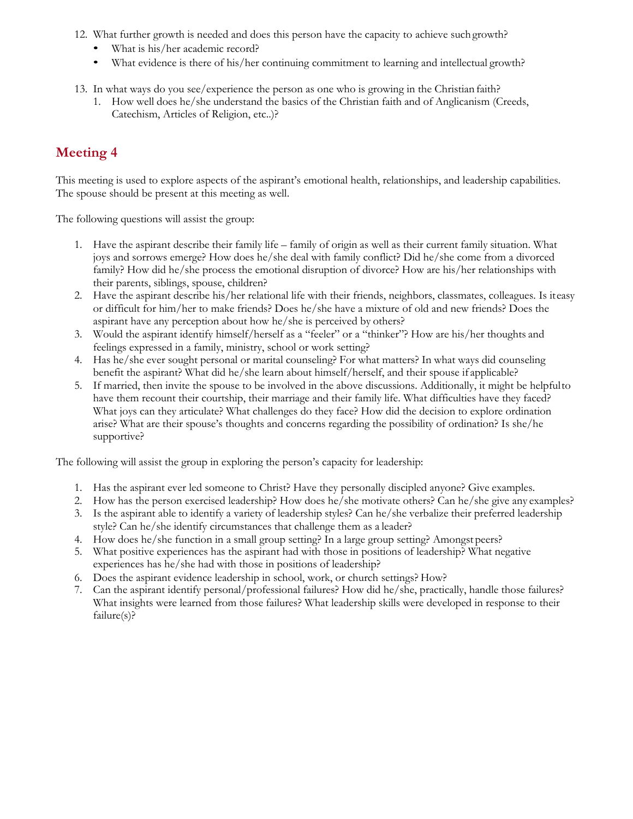- 12. What further growth is needed and does this person have the capacity to achieve suchgrowth?
	- What is his/her academic record?
	- What evidence is there of his/her continuing commitment to learning and intellectual growth?
- 13. In what ways do you see/experience the person as one who is growing in the Christian faith?
	- 1. How well does he/she understand the basics of the Christian faith and of Anglicanism (Creeds, Catechism, Articles of Religion, etc..)?

# **Meeting 4**

This meeting is used to explore aspects of the aspirant's emotional health, relationships, and leadership capabilities. The spouse should be present at this meeting as well.

The following questions will assist the group:

- 1. Have the aspirant describe their family life family of origin as well as their current family situation. What joys and sorrows emerge? How does he/she deal with family conflict? Did he/she come from a divorced family? How did he/she process the emotional disruption of divorce? How are his/her relationships with their parents, siblings, spouse, children?
- 2. Have the aspirant describe his/her relational life with their friends, neighbors, classmates, colleagues. Is iteasy or difficult for him/her to make friends? Does he/she have a mixture of old and new friends? Does the aspirant have any perception about how he/she is perceived by others?
- 3. Would the aspirant identify himself/herself as a "feeler" or a "thinker"? How are his/her thoughts and feelings expressed in a family, ministry, school or work setting?
- 4. Has he/she ever sought personal or marital counseling? For what matters? In what ways did counseling benefit the aspirant? What did he/she learn about himself/herself, and their spouse if applicable?
- 5. If married, then invite the spouse to be involved in the above discussions. Additionally, it might be helpfulto have them recount their courtship, their marriage and their family life. What difficulties have they faced? What joys can they articulate? What challenges do they face? How did the decision to explore ordination arise? What are their spouse's thoughts and concerns regarding the possibility of ordination? Is she/he supportive?

The following will assist the group in exploring the person's capacity for leadership:

- 1. Has the aspirant ever led someone to Christ? Have they personally discipled anyone? Give examples.
- 2. How has the person exercised leadership? How does he/she motivate others? Can he/she give any examples?
- 3. Is the aspirant able to identify a variety of leadership styles? Can he/she verbalize their preferred leadership style? Can he/she identify circumstances that challenge them as a leader?
- 4. How does he/she function in a small group setting? In a large group setting? Amongst peers?
- 5. What positive experiences has the aspirant had with those in positions of leadership? What negative experiences has he/she had with those in positions of leadership?
- 6. Does the aspirant evidence leadership in school, work, or church settings? How?
- 7. Can the aspirant identify personal/professional failures? How did he/she, practically, handle those failures? What insights were learned from those failures? What leadership skills were developed in response to their failure(s)?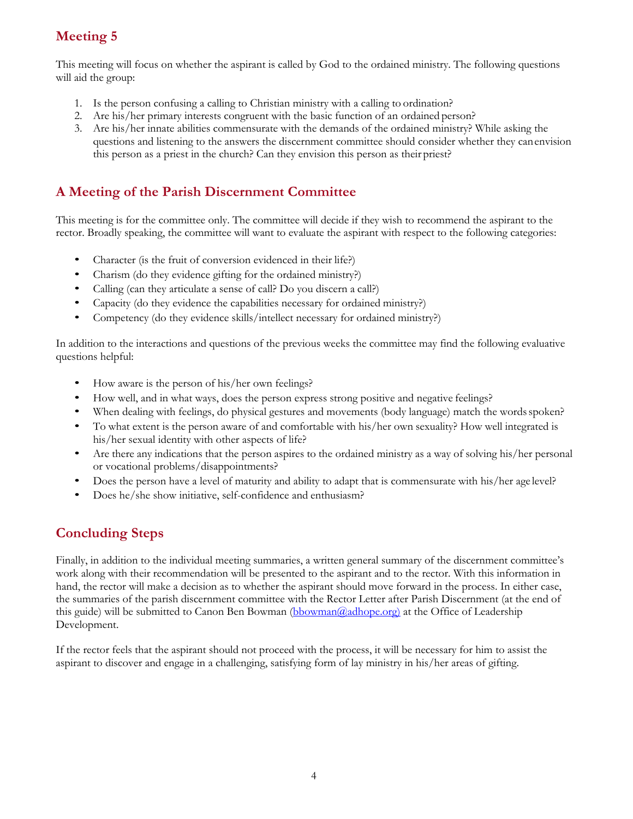## **Meeting 5**

This meeting will focus on whether the aspirant is called by God to the ordained ministry. The following questions will aid the group:

- 1. Is the person confusing a calling to Christian ministry with a calling to ordination?
- 2. Are his/her primary interests congruent with the basic function of an ordained person?
- 3. Are his/her innate abilities commensurate with the demands of the ordained ministry? While asking the questions and listening to the answers the discernment committee should consider whether they canenvision this person as a priest in the church? Can they envision this person as their priest?

### **A Meeting of the Parish Discernment Committee**

This meeting is for the committee only. The committee will decide if they wish to recommend the aspirant to the rector. Broadly speaking, the committee will want to evaluate the aspirant with respect to the following categories:

- Character (is the fruit of conversion evidenced in their life?)
- Charism (do they evidence gifting for the ordained ministry?)
- Calling (can they articulate a sense of call? Do you discern a call?)
- Capacity (do they evidence the capabilities necessary for ordained ministry?)
- Competency (do they evidence skills/intellect necessary for ordained ministry?)

In addition to the interactions and questions of the previous weeks the committee may find the following evaluative questions helpful:

- How aware is the person of his/her own feelings?
- How well, and in what ways, does the person express strong positive and negative feelings?
- When dealing with feelings, do physical gestures and movements (body language) match the words spoken?
- To what extent is the person aware of and comfortable with his/her own sexuality? How well integrated is his/her sexual identity with other aspects of life?
- Are there any indications that the person aspires to the ordained ministry as a way of solving his/her personal or vocational problems/disappointments?
- Does the person have a level of maturity and ability to adapt that is commensurate with his/her age level?
- Does he/she show initiative, self-confidence and enthusiasm?

### **Concluding Steps**

Finally, in addition to the individual meeting summaries, a written general summary of the discernment committee's work along with their recommendation will be presented to the aspirant and to the rector. With this information in hand, the rector will make a decision as to whether the aspirant should move forward in the process. In either case, the summaries of the parish discernment committee with the Rector Letter after Parish Discernment (at the end of this guide) will be submitted to Canon Ben Bowman (bbowman@adhope.org) at the Office of Leadership Development.

If the rector feels that the aspirant should not proceed with the process, it will be necessary for him to assist the aspirant to discover and engage in a challenging, satisfying form of lay ministry in his/her areas of gifting.